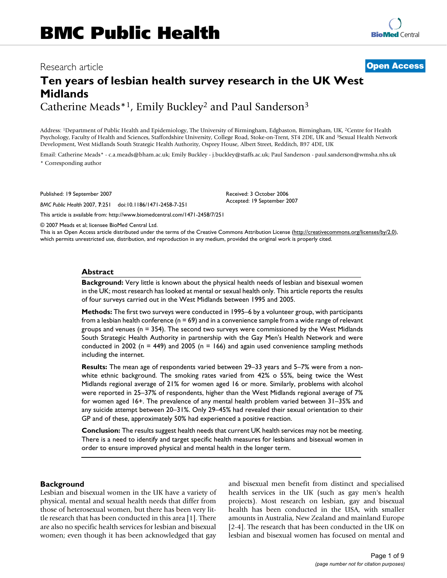# Research article **[Open Access](http://www.biomedcentral.com/info/about/charter/)**

# **Ten years of lesbian health survey research in the UK West Midlands** Catherine Meads\*1, Emily Buckley2 and Paul Sanderson3

Address: 1Department of Public Health and Epidemiology, The University of Birmingham, Edgbaston, Birmingham, UK, 2Centre for Health Psychology, Faculty of Health and Sciences, Staffordshire University, College Road, Stoke-on-Trent, ST4 2DE, UK and 3Sexual Health Network Development, West Midlands South Strategic Health Authority, Osprey House, Albert Street, Redditch, B97 4DE, UK

Email: Catherine Meads\* - c.a.meads@bham.ac.uk; Emily Buckley - j.buckley@staffs.ac.uk; Paul Sanderson - paul.sanderson@wmsha.nhs.uk \* Corresponding author

Published: 19 September 2007

*BMC Public Health* 2007, **7**:251 doi:10.1186/1471-2458-7-251

Received: 3 October 2006 Accepted: 19 September 2007

[This article is available from: http://www.biomedcentral.com/1471-2458/7/251](http://www.biomedcentral.com/1471-2458/7/251)

© 2007 Meads et al; licensee BioMed Central Ltd.

This is an Open Access article distributed under the terms of the Creative Commons Attribution License [\(http://creativecommons.org/licenses/by/2.0\)](http://creativecommons.org/licenses/by/2.0), which permits unrestricted use, distribution, and reproduction in any medium, provided the original work is properly cited.

### **Abstract**

**Background:** Very little is known about the physical health needs of lesbian and bisexual women in the UK; most research has looked at mental or sexual health only. This article reports the results of four surveys carried out in the West Midlands between 1995 and 2005.

**Methods:** The first two surveys were conducted in 1995–6 by a volunteer group, with participants from a lesbian health conference (n = 69) and in a convenience sample from a wide range of relevant groups and venues ( $n = 354$ ). The second two surveys were commissioned by the West Midlands South Strategic Health Authority in partnership with the Gay Men's Health Network and were conducted in 2002 (n = 449) and 2005 (n = 166) and again used convenience sampling methods including the internet.

**Results:** The mean age of respondents varied between 29–33 years and 5–7% were from a nonwhite ethnic background. The smoking rates varied from 42% o 55%, being twice the West Midlands regional average of 21% for women aged 16 or more. Similarly, problems with alcohol were reported in 25–37% of respondents, higher than the West Midlands regional average of 7% for women aged 16+. The prevalence of any mental health problem varied between 31–35% and any suicide attempt between 20–31%. Only 29–45% had revealed their sexual orientation to their GP and of these, approximately 50% had experienced a positive reaction.

**Conclusion:** The results suggest health needs that current UK health services may not be meeting. There is a need to identify and target specific health measures for lesbians and bisexual women in order to ensure improved physical and mental health in the longer term.

#### **Background**

Lesbian and bisexual women in the UK have a variety of physical, mental and sexual health needs that differ from those of heterosexual women, but there has been very little research that has been conducted in this area [1]. There are also no specific health services for lesbian and bisexual women; even though it has been acknowledged that gay and bisexual men benefit from distinct and specialised health services in the UK (such as gay men's health projects). Most research on lesbian, gay and bisexual health has been conducted in the USA, with smaller amounts in Australia, New Zealand and mainland Europe [2-4]. The research that has been conducted in the UK on lesbian and bisexual women has focused on mental and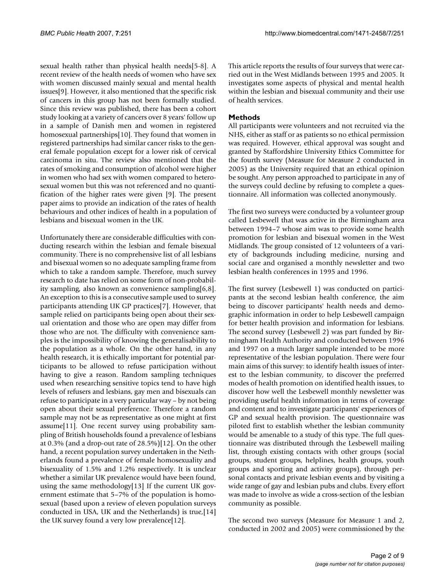sexual health rather than physical health needs[5-8]. A recent review of the health needs of women who have sex with women discussed mainly sexual and mental health issues[9]. However, it also mentioned that the specific risk of cancers in this group has not been formally studied. Since this review was published, there has been a cohort study looking at a variety of cancers over 8 years' follow up in a sample of Danish men and women in registered homosexual partnerships[10]. They found that women in registered partnerships had similar cancer risks to the general female population except for a lower risk of cervical carcinoma in situ. The review also mentioned that the rates of smoking and consumption of alcohol were higher in women who had sex with women compared to heterosexual women but this was not referenced and no quantification of the higher rates were given [9]. The present paper aims to provide an indication of the rates of health behaviours and other indices of health in a population of lesbians and bisexual women in the UK.

Unfortunately there are considerable difficulties with conducting research within the lesbian and female bisexual community. There is no comprehensive list of all lesbians and bisexual women so no adequate sampling frame from which to take a random sample. Therefore, much survey research to date has relied on some form of non-probability sampling, also known as convenience sampling[6,8]. An exception to this is a consecutive sample used to survey participants attending UK GP practices[7]. However, that sample relied on participants being open about their sexual orientation and those who are open may differ from those who are not. The difficulty with convenience samples is the impossibility of knowing the generalisability to the population as a whole. On the other hand, in any health research, it is ethically important for potential participants to be allowed to refuse participation without having to give a reason. Random sampling techniques used when researching sensitive topics tend to have high levels of refusers and lesbians, gay men and bisexuals can refuse to participate in a very particular way – by not being open about their sexual preference. Therefore a random sample may not be as representative as one might at first assume[11]. One recent survey using probability sampling of British households found a prevalence of lesbians at 0.3% (and a drop-out rate of 28.5%)[12]. On the other hand, a recent population survey undertaken in the Netherlands found a prevalence of female homosexuality and bisexuality of 1.5% and 1.2% respectively. It is unclear whether a similar UK prevalence would have been found, using the same methodology[13] If the current UK government estimate that 5–7% of the population is homosexual (based upon a review of eleven population surveys conducted in USA, UK and the Netherlands) is true,[14] the UK survey found a very low prevalence[12].

This article reports the results of four surveys that were carried out in the West Midlands between 1995 and 2005. It investigates some aspects of physical and mental health within the lesbian and bisexual community and their use of health services.

## **Methods**

All participants were volunteers and not recruited via the NHS, either as staff or as patients so no ethical permission was required. However, ethical approval was sought and granted by Staffordshire University Ethics Committee for the fourth survey (Measure for Measure 2 conducted in 2005) as the University required that an ethical opinion be sought. Any person approached to participate in any of the surveys could decline by refusing to complete a questionnaire. All information was collected anonymously.

The first two surveys were conducted by a volunteer group called Lesbewell that was active in the Birmingham area between 1994–7 whose aim was to provide some health promotion for lesbian and bisexual women in the West Midlands. The group consisted of 12 volunteers of a variety of backgrounds including medicine, nursing and social care and organised a monthly newsletter and two lesbian health conferences in 1995 and 1996.

The first survey (Lesbewell 1) was conducted on participants at the second lesbian health conference, the aim being to discover participants' health needs and demographic information in order to help Lesbewell campaign for better health provision and information for lesbians. The second survey (Lesbewell 2) was part funded by Birmingham Health Authority and conducted between 1996 and 1997 on a much larger sample intended to be more representative of the lesbian population. There were four main aims of this survey: to identify health issues of interest to the lesbian community, to discover the preferred modes of health promotion on identified health issues, to discover how well the Lesbewell monthly newsletter was providing useful health information in terms of coverage and content and to investigate participants' experiences of GP and sexual health provision. The questionnaire was piloted first to establish whether the lesbian community would be amenable to a study of this type. The full questionnaire was distributed through the Lesbewell mailing list, through existing contacts with other groups (social groups, student groups, helplines, health groups, youth groups and sporting and activity groups), through personal contacts and private lesbian events and by visiting a wide range of gay and lesbian pubs and clubs. Every effort was made to involve as wide a cross-section of the lesbian community as possible.

The second two surveys (Measure for Measure 1 and 2, conducted in 2002 and 2005) were commissioned by the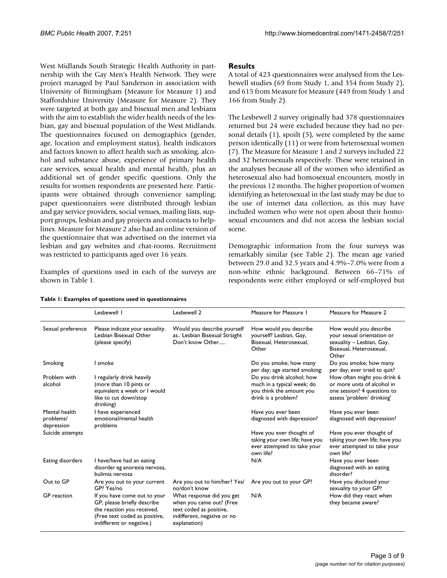West Midlands South Strategic Health Authority in partnership with the Gay Men's Health Network. They were project managed by Paul Sanderson in association with University of Birmingham (Measure for Measure 1) and Staffordshire University (Measure for Measure 2). They were targeted at both gay and bisexual men and lesbians with the aim to establish the wider health needs of the lesbian, gay and bisexual population of the West Midlands. The questionnaires focused on demographics (gender, age, location and employment status), health indicators and factors known to affect health such as smoking, alcohol and substance abuse, experience of primary health care services, sexual health and mental health, plus an additional set of gender specific questions. Only the results for women respondents are presented here. Participants were obtained through convenience sampling; paper questionnaires were distributed through lesbian and gay service providers, social venues, mailing lists, support groups, lesbian and gay projects and contacts to helplines. Measure for Measure 2 also had an online version of the questionnaire that was advertised on the internet via lesbian and gay websites and chat-rooms. Recruitment was restricted to participants aged over 16 years.

Examples of questions used in each of the surveys are shown in Table 1.

## **Results**

A total of 423 questionnaires were analysed from the Lesbewell studies (69 from Study 1, and 354 from Study 2), and 615 from Measure for Measure (449 from Study 1 and 166 from Study 2).

The Lesbewell 2 survey originally had 378 questionnaires returned but 24 were excluded because they had no personal details (1), spoilt (5), were completed by the same person identically (11) or were from heterosexual women (7). The Measure for Measure 1 and 2 surveys included 22 and 32 heterosexuals respectively. These were retained in the analyses because all of the women who identified as heterosexual also had homosexual encounters, mostly in the previous 12 months. The higher proportion of women identifying as heterosexual in the last study may be due to the use of internet data collection, as this may have included women who were not open about their homosexual encounters and did not access the lesbian social scene.

Demographic information from the four surveys was remarkably similar (see Table 2). The mean age varied between 29.0 and 32.5 years and 4.9%–7.0% were from a non-white ethnic background. Between 66–71% of respondents were either employed or self-employed but

|                                          | Lesbewell I                                                                                                                                             | Lesbewell 2                                                                                                                     | Measure for Measure 1                                                                                      | Measure for Measure 2                                                                                                   |
|------------------------------------------|---------------------------------------------------------------------------------------------------------------------------------------------------------|---------------------------------------------------------------------------------------------------------------------------------|------------------------------------------------------------------------------------------------------------|-------------------------------------------------------------------------------------------------------------------------|
| Sexual preference                        | Please indicate your sexuality.<br>Lesbian Bisexual Other<br>(please specify)                                                                           | Would you describe yourself<br>as Lesbian Bisexual Straight<br>Don't know Other                                                 | How would you describe<br>yourself? Lesbian, Gay,<br>Bisexual, Heterosexual,<br>Other                      | How would you describe<br>your sexual orientation or<br>sexuality - Lesbian, Gay,<br>Bisexual, Heterosexual,<br>Other   |
| Smoking                                  | I smoke                                                                                                                                                 |                                                                                                                                 | Do you smoke; how many<br>per day; age started smoking:                                                    | Do you smoke; how many<br>per day; ever tried to quit?                                                                  |
| Problem with<br>alcohol                  | I regularly drink heavily<br>(more than 10 pints or<br>equivalent a week or I would<br>like to cut down/stop<br>drinking)                               |                                                                                                                                 | Do you drink alcohol; how<br>much in a typical week; do<br>you think the amount you<br>drink is a problem? | How often might you drink 6<br>or more units of alcohol in<br>one session? 4 questions to<br>assess 'problem' drinking' |
| Mental health<br>problems/<br>depression | I have experienced<br>emotional/mental health<br>problems                                                                                               |                                                                                                                                 | Have you ever been<br>diagnosed with depression?                                                           | Have you ever been<br>diagnosed with depression?                                                                        |
| Suicide attempts                         |                                                                                                                                                         |                                                                                                                                 | Have you ever thought of<br>taking your own life; have you<br>ever attempted to take your<br>own life?     | Have you ever thought of<br>taking your own life; have you<br>ever attempted to take your<br>own life?                  |
| Eating disorders                         | I have/have had an eating<br>disorder eg anorexia nervosa,<br>bulimia nervosa                                                                           |                                                                                                                                 | N/A                                                                                                        | Have you ever been<br>diagnosed with an eating<br>disorder?                                                             |
| Out to GP                                | Are you out to your current<br>GP? Yes/no                                                                                                               | Are you out to him/her? Yes/<br>no/don't know                                                                                   | Are you out to your GP?                                                                                    | Have you disclosed your<br>sexuality to your GP?                                                                        |
| GP reaction                              | If you have come out to your<br>GP, please briefly describe<br>the reaction you received.<br>(Free text coded as positive,<br>indifferent or negative.) | What response did you get<br>when you came out? (Free<br>text coded as positive,<br>indifferent, negative or no<br>explanation) | N/A                                                                                                        | How did they react when<br>they became aware?                                                                           |

#### **Table 1: Examples of questions used in questionnaires**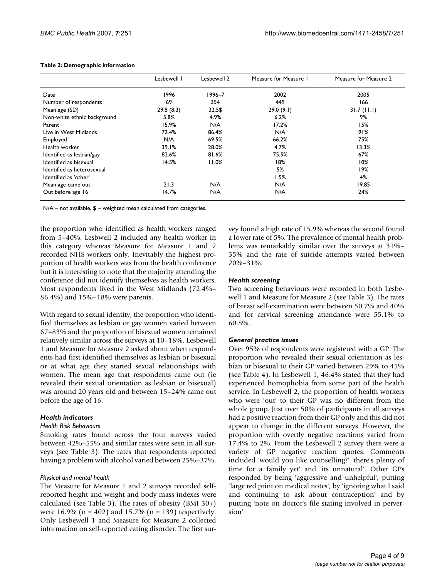|                             | Lesbewell I | Lesbewell 2 | Measure for Measure 1 | Measure for Measure 2 |
|-----------------------------|-------------|-------------|-----------------------|-----------------------|
| Date                        | 1996        | 1996–7      | 2002                  | 2005                  |
| Number of respondents       | 69          | 354         | 449                   | 166                   |
| Mean age (SD)               | 29.8(8.3)   | 32.5\$      | 29.0(9.1)             | 31.7(11.1)            |
| Non-white ethnic background | 5.8%        | 4.9%        | 6.2%                  | 9%                    |
| Parent                      | 15.9%       | N/A         | 17.2%                 | 15%                   |
| Live in West Midlands       | 72.4%       | 86.4%       | N/A                   | 91%                   |
| Employed                    | N/A         | 69.5%       | 66.2%                 | 75%                   |
| Health worker               | 39.1%       | 28.0%       | 4.7%                  | 13.3%                 |
| Identified as lesbian/gay   | 82.6%       | 81.6%       | 75.5%                 | 67%                   |
| Identified as bisexual      | 14.5%       | 11.0%       | 18%                   | 10%                   |
| Identified as heterosexual  |             |             | 5%                    | 19%                   |
| Identified as 'other'       |             |             | 1.5%                  | 4%                    |
| Mean age came out           | 21.3        | N/A         | N/A                   | 19.85                 |
| Out before age 16           | 14.7%       | N/A         | N/A                   | 24%                   |

#### **Table 2: Demographic information**

N/A – not available, \$ – weighted mean calculated from categories.

the proportion who identified as health workers ranged from 5–40%. Lesbwell 2 included any health worker in this category whereas Measure for Measure 1 and 2 recorded NHS workers only. Inevitably the highest proportion of health workers was from the health conference but it is interesting to note that the majority attending the conference did not identify themselves as health workers. Most respondents lived in the West Midlands (72.4%– 86.4%) and 15%–18% were parents.

With regard to sexual identity, the proportion who identified themselves as lesbian or gay women varied between 67–83% and the proportion of bisexual women remained relatively similar across the surveys at 10–18%. Lesbewell 1 and Measure for Measure 2 asked about when respondents had first identified themselves as lesbian or bisexual or at what age they started sexual relationships with women. The mean age that respondents came out (ie revealed their sexual orientation as lesbian or bisexual) was around 20 years old and between 15–24% came out before the age of 16.

## *Health indicators*

## *Health Risk Behaviours*

Smoking rates found across the four surveys varied between 42%–55% and similar rates were seen in all surveys (see Table 3). The rates that respondents reported having a problem with alcohol varied between 25%–37%.

## *Physical and mental health*

The Measure for Measure 1 and 2 surveys recorded selfreported height and weight and body mass indexes were calculated (see Table 3). The rates of obesity (BMI 30+) were  $16.9\%$  (n = 402) and  $15.7\%$  (n = 139) respectively. Only Lesbewell 1 and Measure for Measure 2 collected information on self-reported eating disorder. The first survey found a high rate of 15.9% whereas the second found a lower rate of 5%. The prevalence of mental health problems was remarkably similar over the surveys at 31%– 35% and the rate of suicide attempts varied between 20%–31%.

## *Health screening*

Two screening behaviours were recorded in both Lesbewell 1 and Measure for Measure 2 (see Table 3). The rates of breast self-examination were between 50.7% and 40% and for cervical screening attendance were 55.1% to 60.8%.

## *General practice issues*

Over 95% of respondents were registered with a GP. The proportion who revealed their sexual orientation as lesbian or bisexual to their GP varied between 29% to 45% (see Table 4). In Lesbewell 1, 46.4% stated that they had experienced homophobia from some part of the health service. In Lesbewell 2, the proportion of health workers who were 'out' to their GP was no different from the whole group. Just over 50% of participants in all surveys had a positive reaction from their GP only and this did not appear to change in the different surveys. However, the proportion with overtly negative reactions varied from 17.4% to 2%. From the Lesbewell 2 survey there were a variety of GP negative reaction quotes. Comments included 'would you like counselling?' 'there's plenty of time for a family yet' and 'its unnatural'. Other GPs responded by being 'aggressive and unhelpful', putting 'large red print on medical notes', by 'ignoring what I said and continuing to ask about contraception' and by putting 'note on doctor's file stating involved in perversion'.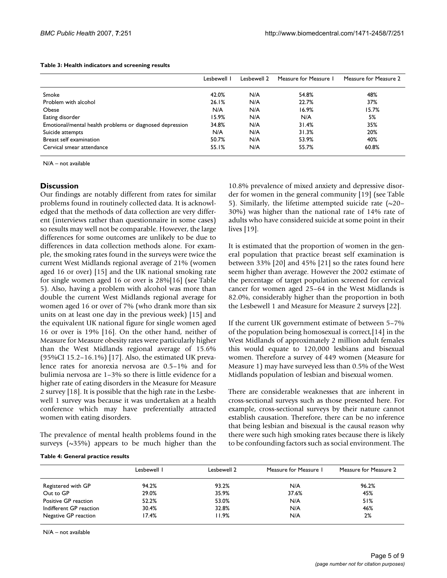#### **Table 3: Health indicators and screening results**

|                                                          | Lesbewell I | Lesbewell 2 | Measure for Measure 1 | Measure for Measure 2 |
|----------------------------------------------------------|-------------|-------------|-----------------------|-----------------------|
| Smoke                                                    | 42.0%       | N/A         | 54.8%                 | 48%                   |
| Problem with alcohol                                     | 26.1%       | N/A         | 22.7%                 | 37%                   |
| Obese                                                    | N/A         | N/A         | 16.9%                 | 15.7%                 |
| Eating disorder                                          | 15.9%       | N/A         | N/A                   | 5%                    |
| Emotional/mental health problems or diagnosed depression | 34.8%       | N/A         | 31.4%                 | 35%                   |
| Suicide attempts                                         | N/A         | N/A         | 31.3%                 | 20%                   |
| Breast self examination                                  | 50.7%       | N/A         | 53.9%                 | 40%                   |
| Cervical smear attendance                                | 55.1%       | N/A         | 55.7%                 | 60.8%                 |

N/A – not available

## **Discussion**

Our findings are notably different from rates for similar problems found in routinely collected data. It is acknowledged that the methods of data collection are very different (interviews rather than questionnaire in some cases) so results may well not be comparable. However, the large differences for some outcomes are unlikely to be due to differences in data collection methods alone. For example, the smoking rates found in the surveys were twice the current West Midlands regional average of 21% (women aged 16 or over) [15] and the UK national smoking rate for single women aged 16 or over is 28%[16] (see Table 5). Also, having a problem with alcohol was more than double the current West Midlands regional average for women aged 16 or over of 7% (who drank more than six units on at least one day in the previous week) [15] and the equivalent UK national figure for single women aged 16 or over is 19% [16]. On the other hand, neither of Measure for Measure obesity rates were particularly higher than the West Midlands regional average of 15.6% (95%CI 15.2–16.1%) [17]. Also, the estimated UK prevalence rates for anorexia nervosa are 0.5–1% and for bulimia nervosa are 1–3% so there is little evidence for a higher rate of eating disorders in the Measure for Measure 2 survey [18]. It is possible that the high rate in the Lesbewell 1 survey was because it was undertaken at a health conference which may have preferentially attracted women with eating disorders.

The prevalence of mental health problems found in the surveys  $(\sim 35\%)$  appears to be much higher than the

10.8% prevalence of mixed anxiety and depressive disorder for women in the general community [19] (see Table 5). Similarly, the lifetime attempted suicide rate  $(\sim 20 -$ 30%) was higher than the national rate of 14% rate of adults who have considered suicide at some point in their lives [19].

It is estimated that the proportion of women in the general population that practice breast self examination is between 33% [20] and 45% [21] so the rates found here seem higher than average. However the 2002 estimate of the percentage of target population screened for cervical cancer for women aged 25–64 in the West Midlands is 82.0%, considerably higher than the proportion in both the Lesbewell 1 and Measure for Measure 2 surveys [22].

If the current UK government estimate of between 5–7% of the population being homosexual is correct,[14] in the West Midlands of approximately 2 million adult females this would equate to 120,000 lesbians and bisexual women. Therefore a survey of 449 women (Measure for Measure 1) may have surveyed less than 0.5% of the West Midlands population of lesbian and bisexual women.

There are considerable weaknesses that are inherent in cross-sectional surveys such as those presented here. For example, cross-sectional surveys by their nature cannot establish causation. Therefore, there can be no inference that being lesbian and bisexual is the causal reason why there were such high smoking rates because there is likely to be confounding factors such as social environment. The

#### **Table 4: General practice results**

|                         | Lesbewell I | Lesbewell 2 | Measure for Measure 1 | Measure for Measure 2 |
|-------------------------|-------------|-------------|-----------------------|-----------------------|
| Registered with GP      | 94.2%       | 93.2%       | N/A                   | 96.2%                 |
| Out to GP               | 29.0%       | 35.9%       | 37.6%                 | 45%                   |
| Positive GP reaction    | 52.2%       | 53.0%       | N/A                   | 51%                   |
| Indifferent GP reaction | 30.4%       | 32.8%       | N/A                   | 46%                   |
| Negative GP reaction    | 17.4%       | 11.9%       | N/A                   | 2%                    |

N/A – not available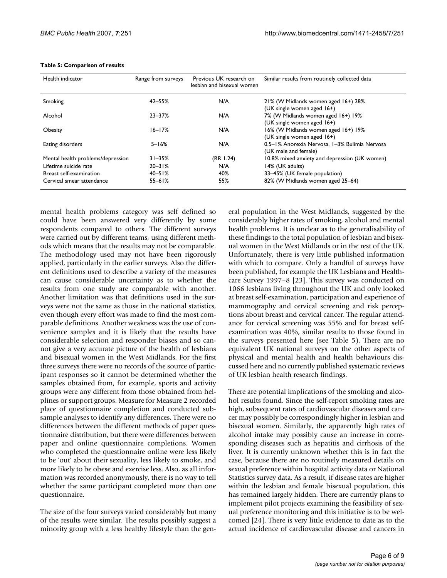| Health indicator                  | Range from surveys | Previous UK research on<br>lesbian and bisexual women | Similar results from routinely collected data                         |
|-----------------------------------|--------------------|-------------------------------------------------------|-----------------------------------------------------------------------|
| Smoking                           | $42 - 55%$         | N/A                                                   | 21% (W Midlands women aged 16+) 28%<br>(UK single women aged 16+)     |
| Alcohol                           | $23 - 37%$         | N/A                                                   | 7% (W Midlands women aged 16+) 19%<br>(UK single women aged 16+)      |
| Obesity                           | $16 - 17%$         | N/A                                                   | 16% (W Midlands women aged 16+) 19%<br>(UK single women aged 16+)     |
| Eating disorders                  | $5 - 16%$          | N/A                                                   | 0.5-1% Anorexia Nervosa, 1-3% Bulimia Nervosa<br>(UK male and female) |
| Mental health problems/depression | $31 - 35%$         | (RR 1.24)                                             | 10.8% mixed anxiety and depression (UK women)                         |
| Lifetime suicide rate             | $20 - 31%$         | N/A                                                   | 14% (UK adults)                                                       |
| Breast self-examination           | $40 - 51%$         | 40%                                                   | 33–45% (UK female population)                                         |
| Cervical smear attendance         | $55 - 61%$         | 55%                                                   | 82% (W Midlands women aged 25–64)                                     |

#### **Table 5: Comparison of results**

mental health problems category was self defined so could have been answered very differently by some respondents compared to others. The different surveys were carried out by different teams, using different methods which means that the results may not be comparable. The methodology used may not have been rigorously applied, particularly in the earlier surveys. Also the different definitions used to describe a variety of the measures can cause considerable uncertainty as to whether the results from one study are comparable with another. Another limitation was that definitions used in the surveys were not the same as those in the national statistics, even though every effort was made to find the most comparable definitions. Another weakness was the use of convenience samples and it is likely that the results have considerable selection and responder biases and so cannot give a very accurate picture of the health of lesbians and bisexual women in the West Midlands. For the first three surveys there were no records of the source of participant responses so it cannot be determined whether the samples obtained from, for example, sports and activity groups were any different from those obtained from helplines or support groups. Measure for Measure 2 recorded place of questionnaire completion and conducted subsample analyses to identify any differences. There were no differences between the different methods of paper questionnaire distribution, but there were differences between paper and online questionnaire completions. Women who completed the questionnaire online were less likely to be 'out' about their sexuality, less likely to smoke, and more likely to be obese and exercise less. Also, as all information was recorded anonymously, there is no way to tell whether the same participant completed more than one questionnaire.

The size of the four surveys varied considerably but many of the results were similar. The results possibly suggest a minority group with a less healthy lifestyle than the general population in the West Midlands, suggested by the considerably higher rates of smoking, alcohol and mental health problems. It is unclear as to the generalisability of these findings to the total population of lesbian and bisexual women in the West Midlands or in the rest of the UK. Unfortunately, there is very little published information with which to compare. Only a handful of surveys have been published, for example the UK Lesbians and Healthcare Survey 1997–8 [23]. This survey was conducted on 1066 lesbians living throughout the UK and only looked at breast self-examination, participation and experience of mammography and cervical screening and risk perceptions about breast and cervical cancer. The regular attendance for cervical screening was 55% and for breast selfexamination was 40%, similar results to those found in the surveys presented here (see Table 5). There are no equivalent UK national surveys on the other aspects of physical and mental health and health behaviours discussed here and no currently published systematic reviews of UK lesbian health research findings.

There are potential implications of the smoking and alcohol results found. Since the self-report smoking rates are high, subsequent rates of cardiovascular diseases and cancer may possibly be correspondingly higher in lesbian and bisexual women. Similarly, the apparently high rates of alcohol intake may possibly cause an increase in corresponding diseases such as hepatitis and cirrhosis of the liver. It is currently unknown whether this is in fact the case, because there are no routinely measured details on sexual preference within hospital activity data or National Statistics survey data. As a result, if disease rates are higher within the lesbian and female bisexual population, this has remained largely hidden. There are currently plans to implement pilot projects examining the feasibility of sexual preference monitoring and this initiative is to be welcomed [24]. There is very little evidence to date as to the actual incidence of cardiovascular disease and cancers in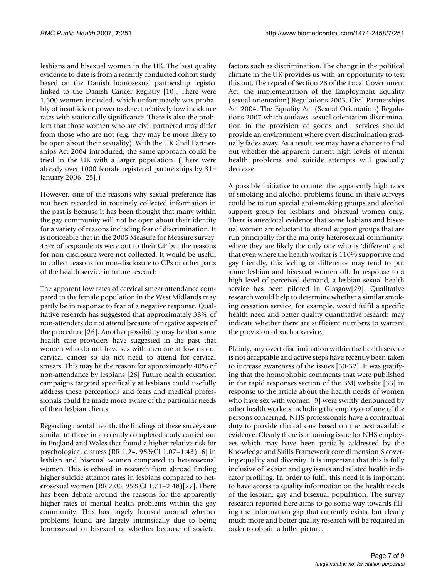lesbians and bisexual women in the UK. The best quality evidence to date is from a recently conducted cohort study based on the Danish homosexual partnership register linked to the Danish Cancer Registry [10]. There were 1,600 women included, which unfortunately was probably of insufficient power to detect relatively low incidence rates with statistically significance. There is also the problem that those women who are civil partnered may differ from those who are not (e.g. they may be more likely to be open about their sexuality). With the UK Civil Partnerships Act 2004 introduced, the same approach could be tried in the UK with a larger population. (There were already over 1000 female registered partnerships by 31st January 2006 [25].)

However, one of the reasons why sexual preference has not been recorded in routinely collected information in the past is because it has been thought that many within the gay community will not be open about their identity for a variety of reasons including fear of discrimination. It is noticeable that in the 2005 Measure for Measure survey, 45% of respondents were out to their GP but the reasons for non-disclosure were not collected. It would be useful to collect reasons for non-disclosure to GPs or other parts of the health service in future research.

The apparent low rates of cervical smear attendance compared to the female population in the West Midlands may partly be in response to fear of a negative response. Qualitative research has suggested that approximately 38% of non-attenders do not attend because of negative aspects of the procedure [26]. Another possibility may be that some health care providers have suggested in the past that women who do not have sex with men are at low risk of cervical cancer so do not need to attend for cervical smears. This may be the reason for approximately 40% of non-attendance by lesbians [26] Future health education campaigns targeted specifically at lesbians could usefully address these perceptions and fears and medical professionals could be made more aware of the particular needs of their lesbian clients.

Regarding mental health, the findings of these surveys are similar to those in a recently completed study carried out in England and Wales that found a higher relative risk for psychological distress (RR 1.24, 95%CI 1.07–1.43) [6] in lesbian and bisexual women compared to heterosexual women. This is echoed in research from abroad finding higher suicide attempt rates in lesbians compared to heterosexual women (RR 2.06, 95%CI 1.71–2.48)[27]. There has been debate around the reasons for the apparently higher rates of mental health problems within the gay community. This has largely focused around whether problems found are largely intrinsically due to being homosexual or bisexual or whether because of societal

factors such as discrimination. The change in the political climate in the UK provides us with an opportunity to test this out. The repeal of Section 28 of the Local Government Act, the implementation of the Employment Equality (sexual orientation) Regulations 2003, Civil Partnerships Act 2004. The Equality Act (Sexual Orientation) Regulations 2007 which outlaws sexual orientation discrimination in the provision of goods and services should provide an environment where overt discrimination gradually fades away. As a result, we may have a chance to find out whether the apparent current high levels of mental health problems and suicide attempts will gradually decrease.

A possible initiative to counter the apparently high rates of smoking and alcohol problems found in these surveys could be to run special anti-smoking groups and alcohol support group for lesbians and bisexual women only. There is anecdotal evidence that some lesbians and bisexual women are reluctant to attend support groups that are run principally for the majority heterosexual community, where they are likely the only one who is 'different' and that even where the health worker is 110% supportive and gay friendly, this feeling of difference may tend to put some lesbian and bisexual women off. In response to a high level of perceived demand, a lesbian sexual health service has been piloted in Glasgow[29]. Qualitative research would help to determine whether a similar smoking cessation service, for example, would fulfil a specific health need and better quality quantitative research may indicate whether there are sufficient numbers to warrant the provision of such a service.

Plainly, any overt discrimination within the health service is not acceptable and active steps have recently been taken to increase awareness of the issues [30-32]. It was gratifying that the homophobic comments that were published in the rapid responses section of the BMJ website [33] in response to the article about the health needs of women who have sex with women [9] were swiftly denounced by other health workers including the employer of one of the persons concerned. NHS professionals have a contractual duty to provide clinical care based on the best available evidence. Clearly there is a training issue for NHS employees which may have been partially addressed by the Knowledge and Skills Framework core dimension 6 covering equality and diversity. It is important that this is fully inclusive of lesbian and gay issues and related health indicator profiling. In order to fulfil this need it is important to have access to quality information on the health needs of the lesbian, gay and bisexual population. The survey research reported here aims to go some way towards filling the information gap that currently exists, but clearly much more and better quality research will be required in order to obtain a fuller picture.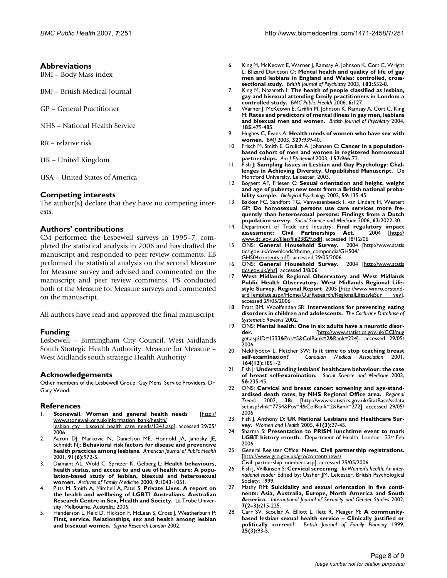## **Abbreviations**

BMI – Body Mass index

BMJ – British Medical Journal

GP – General Practitioner

NHS – National Health Service

RR – relative risk

UK – United Kingdom

USA – United States of America

## **Competing interests**

The author(s) declare that they have no competing interests.

## **Authors' contributions**

CM performed the Lesbewell surveys in 1995–7, completed the statistical analysis in 2006 and has drafted the manuscript and responded to peer review comments. EB performed the statistical analysis on the second Measure for Measure survey and advised and commented on the manuscript and peer review comments. PS conducted both of the Measure for Measure surveys and commented on the manuscript.

All authors have read and approved the final manuscript

## **Funding**

Lesbewell – Birmingham City Council, West Midlands South Strategic Health Authority. Measure for Measure – West Midlands south strategic Health Authority

## **Acknowledgements**

Other members of the Lesbewell Group. Gay Mens' Service Providers. Dr Gary Wood.

## **References**

- Stonewall. Women and general health needs [[http://](http://www.stonewall.org.uk/information_bank/health/lesbian_gay__bisexual_health_care_needs/1341.asp) [www.stonewall.org.uk/information\\_bank/health/](http://www.stonewall.org.uk/information_bank/health/lesbian_gay__bisexual_health_care_needs/1341.asp) lesbian\_gay\_bisexual\_health\_care\_needs/1341.asp]. accessed 29/05/ 2006
- 2. Aaron DJ, Markovic N, Danielson ME, Honnold JA, Janosky JE, Schmidt NJ: **[Behavioral risk factors for disease and preventive](http://www.ncbi.nlm.nih.gov/entrez/query.fcgi?cmd=Retrieve&db=PubMed&dopt=Abstract&list_uids=11392943) [health practices among lesbians.](http://www.ncbi.nlm.nih.gov/entrez/query.fcgi?cmd=Retrieve&db=PubMed&dopt=Abstract&list_uids=11392943)** *American Journal of Public Health* 2001, **91(6):**972-5.
- 3. Diamant AL, Wold C, Spritzer K, Gelberg L: **[Health behaviours,](http://www.ncbi.nlm.nih.gov/entrez/query.fcgi?cmd=Retrieve&db=PubMed&dopt=Abstract&list_uids=11115206) health status, and access to and use of health care: A popu[lation-based study of lesbian, bisexual and heterosexual](http://www.ncbi.nlm.nih.gov/entrez/query.fcgi?cmd=Retrieve&db=PubMed&dopt=Abstract&list_uids=11115206) [women.](http://www.ncbi.nlm.nih.gov/entrez/query.fcgi?cmd=Retrieve&db=PubMed&dopt=Abstract&list_uids=11115206)** *Archives of Family Medicine* 2000, **9:**1043-1051.
- 4. Pitts M, Smith A, Mitchell A, Patel S: **Private Lives. A report on the health and wellbeing of LGBTI Australians. Australian Research Centre in Sex, Health and Society.** La Trobe University, Melbourne, Australia; 2006.
- 5. Henderson L, Reid D, Hickson F, McLean S, Cross J, Weatherburn P: **First, service. Relationships, sex and health among lesbian and bisexual women.** *Sigma Research London* 2002.
- 6. King M, McKeown E, Warner J, Ramsay A, Johnson K, Cort C, Wright L, Blizard Davidson O: **[Mental health and quality of life of gay](http://www.ncbi.nlm.nih.gov/entrez/query.fcgi?cmd=Retrieve&db=PubMed&dopt=Abstract&list_uids=14645028) [men and lesbians in England and Wales: controlled, cross](http://www.ncbi.nlm.nih.gov/entrez/query.fcgi?cmd=Retrieve&db=PubMed&dopt=Abstract&list_uids=14645028)[sectional study.](http://www.ncbi.nlm.nih.gov/entrez/query.fcgi?cmd=Retrieve&db=PubMed&dopt=Abstract&list_uids=14645028)** *British Journal of Psychiatry* 2003, **183:**552-8.
- 7. King M, Nazareth I: **[The health of people classified as lesbian,](http://www.ncbi.nlm.nih.gov/entrez/query.fcgi?cmd=Retrieve&db=PubMed&dopt=Abstract&list_uids=16681849) [gay and bisexual attending family practitioners in London: a](http://www.ncbi.nlm.nih.gov/entrez/query.fcgi?cmd=Retrieve&db=PubMed&dopt=Abstract&list_uids=16681849) [controlled study.](http://www.ncbi.nlm.nih.gov/entrez/query.fcgi?cmd=Retrieve&db=PubMed&dopt=Abstract&list_uids=16681849)** *BMC Public Health* 2006, **6:**127.
- 8. Warner J, McKeown E, Griffin M, Johnson K, Ramsay A, Cort C, King M: **[Rates and predictors of mental illness in gay men, lesbians](http://www.ncbi.nlm.nih.gov/entrez/query.fcgi?cmd=Retrieve&db=PubMed&dopt=Abstract&list_uids=15572738) [and bisexual men and women.](http://www.ncbi.nlm.nih.gov/entrez/query.fcgi?cmd=Retrieve&db=PubMed&dopt=Abstract&list_uids=15572738)** *British Journal of Psychiatry* 2004, **185:**479-485.
- 9. Hughes C, Evans A: **[Health needs of women who have sex with](http://www.ncbi.nlm.nih.gov/entrez/query.fcgi?cmd=Retrieve&db=PubMed&dopt=Abstract&list_uids=14576218) [women.](http://www.ncbi.nlm.nih.gov/entrez/query.fcgi?cmd=Retrieve&db=PubMed&dopt=Abstract&list_uids=14576218)** *BMJ* 2003, **327:**939-40.
- 10. Frisch M, Smith E, Grulich A, Johansen C: **[Cancer in a population](http://www.ncbi.nlm.nih.gov/entrez/query.fcgi?cmd=Retrieve&db=PubMed&dopt=Abstract&list_uids=12777359)[based cohort of men and women in registered homosexual](http://www.ncbi.nlm.nih.gov/entrez/query.fcgi?cmd=Retrieve&db=PubMed&dopt=Abstract&list_uids=12777359) [partnerships.](http://www.ncbi.nlm.nih.gov/entrez/query.fcgi?cmd=Retrieve&db=PubMed&dopt=Abstract&list_uids=12777359)** *Am J Epidemiol* 2003, **157:**966-72.
- 11. Fish J: **Sampling Issues in Lesbian and Gay Psychology: Challenges in Achieving Diversity. Unpublished Manuscript.** De Montford University, Leicester; 2003.
- 12. Bogaert AF, Friesen C: **[Sexual orientation and height, weight](http://www.ncbi.nlm.nih.gov/entrez/query.fcgi?cmd=Retrieve&db=PubMed&dopt=Abstract&list_uids=11911936) [and age of puberty: new tests from a British national proba](http://www.ncbi.nlm.nih.gov/entrez/query.fcgi?cmd=Retrieve&db=PubMed&dopt=Abstract&list_uids=11911936)[bility sample.](http://www.ncbi.nlm.nih.gov/entrez/query.fcgi?cmd=Retrieve&db=PubMed&dopt=Abstract&list_uids=11911936)** *Biological Psychology* 2002, **59:**135-45.
- 13. Bakker FC, Sandfort TG, Vanwesenbeeck I, van Lindert H, Westert GP: **Do homosexual persons use care services more frequently than heterosexual persons: Findings from a Dutch population survey.** *Social Science and Medicine* 2006, **63:**2022-30.
- 14. Department of Trade and Industry: **Final regulatory impact** assessment: Civil Partnerships Act. [www.dti.gov.uk/files/file23829.pdf](http://www.dti.gov.uk/files/file23829.pdf)]. accessed 18/12/06<br>ONS: General Household Survey. 2004 [http://www.statis
- 15. ONS: General Household Survey. [tics.gov.uk/downloads/theme\\_compendia/GHS04/](http://www.statistics.gov.uk/downloads/theme_compendia/GHS04/GHS04contents.pdf) [GHS04contents.pdf](http://www.statistics.gov.uk/downloads/theme_compendia/GHS04/GHS04contents.pdf)]. accessed 29/05/2006
- 16. ONS: **General Household Survey.** 2004 [[http://www.statis](http://www.statistics.gov.uk/ghs) [tics.gov.uk/ghs](http://www.statistics.gov.uk/ghs)]. accessed 3/8/06
- 17. **West Midlands Regional Observatory and West Midlands Public Health Observatory. West Midlands Regional Lifestyle Survey. Regional Report** 2005 [[http://www.wmro.orstand](http://www.wmro.org/standardTemplate.aspx/Home/OurResearch/RegionalLifestyleSurvey)ardTemplate.aspx/Home/OurResearch/RegionalLifestyleSur accessed 29/05/2006
- 18. Pratt BM, Woolfenden SR: **Interventions for preventing eating disorders in children and adolescents.** *The Cochrane Database of Systematic Reviews* 2002.
- 19. ONS: **Mental health: One in six adults have a neurotic disor**der. **der.** [[http://www.statistics.gov.uk/CCI/nug](http://www.statistics.gov.uk/CCI/nugget.asp?ID=1333&Pos=5&ColRank=2&Rank=224) [get.asp?ID=1333&Pos=5&ColRank=2&Rank=224](http://www.statistics.gov.uk/CCI/nugget.asp?ID=1333&Pos=5&ColRank=2&Rank=224)]. accessed 29/05/ 2006
- 20. Nekhlyodov L, Fletcher SW: **Is it time to stop teaching breast self-examination?** *Canadian Medical Association* 2001, **164(13):**1851-2.
- 21. Fish J: **Understanding lesbians' healthcare behaviour: the case of breast self-examination.** *Social Science and Medicine* 2003, **56:**235-45.
- 22. ONS: **Cervical and breast cancer: screening and age-standardised death rates, by NHS Regional Office area.** *Regional Trends* 2002, **38:** [[http://www.statistics.gov.uk/StatBase/ssdata](http://www.statistics.gov.uk/StatBase/ssdataset.asp?vlnk=7754&Pos=4&ColRank=2&Rank=272) [set.asp?vlnk=7754&Pos=4&ColRank=2&Rank=272\]](http://www.statistics.gov.uk/StatBase/ssdataset.asp?vlnk=7754&Pos=4&ColRank=2&Rank=272). accessed 29/05/ 2006
- 23. Fish J, Anthony D: **UK National Lesbians and Healthcare Survey.** *Women and Health* 2005, **41(3):**27-45.
- 24. Sharma S: **Presentation to PRISM lunchtime event to mark** LGBT history month. Department of Health, London. 23rd Feb 2006
- 25. General Register Office: **News. Civil partnership registrations.** [[http://www.gro.gov.uk/gro/content/news/](http://www.gro.gov.uk/gro/content/news/Civil_partnership_numbers.asp)
	- [Civil\\_partnership\\_numbers.asp](http://www.gro.gov.uk/gro/content/news/Civil_partnership_numbers.asp)]. accessed 29/05/2006
- 26. Fish J, Wilkinson S: **Cervical screening.** In *Women's health: An international reader* Edited by: Ussher JM. Leicester, British Psychological Society; 1999.
- 27. Mathy RM: **Suicidality and sexual orientation in five continents: Asia, Australia, Europe, North America and South America.** *International Journal of Sexuality and Gender Studies* 2002, **7(2–3):**215-225.
- Carr SV, Scoular A, Elliott L, llett R, Meager M: [A community](http://www.ncbi.nlm.nih.gov/entrez/query.fcgi?cmd=Retrieve&db=PubMed&dopt=Abstract&list_uids=10567057)**[based lesbian sexual health service – Clinically justified or](http://www.ncbi.nlm.nih.gov/entrez/query.fcgi?cmd=Retrieve&db=PubMed&dopt=Abstract&list_uids=10567057) [politically correct?](http://www.ncbi.nlm.nih.gov/entrez/query.fcgi?cmd=Retrieve&db=PubMed&dopt=Abstract&list_uids=10567057)** *British Journal of Family Planning* 1999, **25(3):**93-5.